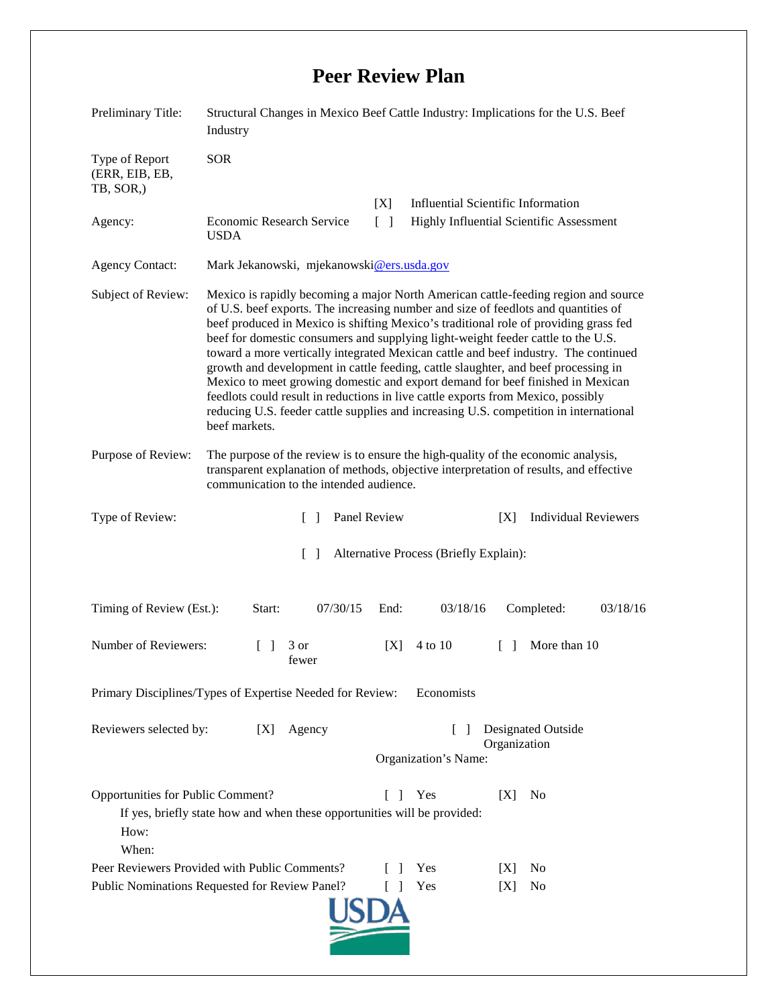## **Peer Review Plan**

| Preliminary Title:                                                                                                                                                       | Structural Changes in Mexico Beef Cattle Industry: Implications for the U.S. Beef<br>Industry                                                                                                                                                                                                                                                                                                                                                                                                                                                                                                                                                                                                                                                                                                                     |      |                                                                 |        |                             |          |
|--------------------------------------------------------------------------------------------------------------------------------------------------------------------------|-------------------------------------------------------------------------------------------------------------------------------------------------------------------------------------------------------------------------------------------------------------------------------------------------------------------------------------------------------------------------------------------------------------------------------------------------------------------------------------------------------------------------------------------------------------------------------------------------------------------------------------------------------------------------------------------------------------------------------------------------------------------------------------------------------------------|------|-----------------------------------------------------------------|--------|-----------------------------|----------|
| Type of Report<br>(ERR, EIB, EB,<br>TB, SOR,)                                                                                                                            | <b>SOR</b>                                                                                                                                                                                                                                                                                                                                                                                                                                                                                                                                                                                                                                                                                                                                                                                                        |      |                                                                 |        |                             |          |
|                                                                                                                                                                          |                                                                                                                                                                                                                                                                                                                                                                                                                                                                                                                                                                                                                                                                                                                                                                                                                   | [X]  | <b>Influential Scientific Information</b>                       |        |                             |          |
| Agency:                                                                                                                                                                  | <b>Economic Research Service</b><br>$\begin{bmatrix} 1 \end{bmatrix}$<br><b>Highly Influential Scientific Assessment</b><br><b>USDA</b>                                                                                                                                                                                                                                                                                                                                                                                                                                                                                                                                                                                                                                                                           |      |                                                                 |        |                             |          |
| <b>Agency Contact:</b>                                                                                                                                                   | Mark Jekanowski, mjekanowski@ers.usda.gov                                                                                                                                                                                                                                                                                                                                                                                                                                                                                                                                                                                                                                                                                                                                                                         |      |                                                                 |        |                             |          |
| Subject of Review:                                                                                                                                                       | Mexico is rapidly becoming a major North American cattle-feeding region and source<br>of U.S. beef exports. The increasing number and size of feedlots and quantities of<br>beef produced in Mexico is shifting Mexico's traditional role of providing grass fed<br>beef for domestic consumers and supplying light-weight feeder cattle to the U.S.<br>toward a more vertically integrated Mexican cattle and beef industry. The continued<br>growth and development in cattle feeding, cattle slaughter, and beef processing in<br>Mexico to meet growing domestic and export demand for beef finished in Mexican<br>feedlots could result in reductions in live cattle exports from Mexico, possibly<br>reducing U.S. feeder cattle supplies and increasing U.S. competition in international<br>beef markets. |      |                                                                 |        |                             |          |
| Purpose of Review:                                                                                                                                                       | The purpose of the review is to ensure the high-quality of the economic analysis,<br>transparent explanation of methods, objective interpretation of results, and effective<br>communication to the intended audience.                                                                                                                                                                                                                                                                                                                                                                                                                                                                                                                                                                                            |      |                                                                 |        |                             |          |
| Type of Review:                                                                                                                                                          | Panel Review<br>$\Box$                                                                                                                                                                                                                                                                                                                                                                                                                                                                                                                                                                                                                                                                                                                                                                                            |      |                                                                 | [X]    | <b>Individual Reviewers</b> |          |
| $\lceil \rceil$<br>Alternative Process (Briefly Explain):                                                                                                                |                                                                                                                                                                                                                                                                                                                                                                                                                                                                                                                                                                                                                                                                                                                                                                                                                   |      |                                                                 |        |                             |          |
| Timing of Review (Est.):                                                                                                                                                 | 07/30/15<br>Start:                                                                                                                                                                                                                                                                                                                                                                                                                                                                                                                                                                                                                                                                                                                                                                                                | End: | 03/18/16                                                        |        | Completed:                  | 03/18/16 |
| Number of Reviewers:                                                                                                                                                     | 3 or<br>fewer                                                                                                                                                                                                                                                                                                                                                                                                                                                                                                                                                                                                                                                                                                                                                                                                     | [X]  | 4 to 10                                                         | $\Box$ | More than 10                |          |
| Primary Disciplines/Types of Expertise Needed for Review:<br>Economists                                                                                                  |                                                                                                                                                                                                                                                                                                                                                                                                                                                                                                                                                                                                                                                                                                                                                                                                                   |      |                                                                 |        |                             |          |
| Reviewers selected by:<br>Agency<br>[X]                                                                                                                                  |                                                                                                                                                                                                                                                                                                                                                                                                                                                                                                                                                                                                                                                                                                                                                                                                                   |      | Designated Outside<br>L<br>Organization<br>Organization's Name: |        |                             |          |
| Opportunities for Public Comment?<br>Yes<br>[X]<br>N <sub>0</sub><br>$\Box$<br>If yes, briefly state how and when these opportunities will be provided:<br>How:<br>When: |                                                                                                                                                                                                                                                                                                                                                                                                                                                                                                                                                                                                                                                                                                                                                                                                                   |      |                                                                 |        |                             |          |
| Peer Reviewers Provided with Public Comments?                                                                                                                            |                                                                                                                                                                                                                                                                                                                                                                                                                                                                                                                                                                                                                                                                                                                                                                                                                   |      | Yes                                                             | IXI    | N <sub>0</sub>              |          |
| Public Nominations Requested for Review Panel?<br>Yes<br>[X]<br>No<br>$\Box$                                                                                             |                                                                                                                                                                                                                                                                                                                                                                                                                                                                                                                                                                                                                                                                                                                                                                                                                   |      |                                                                 |        |                             |          |